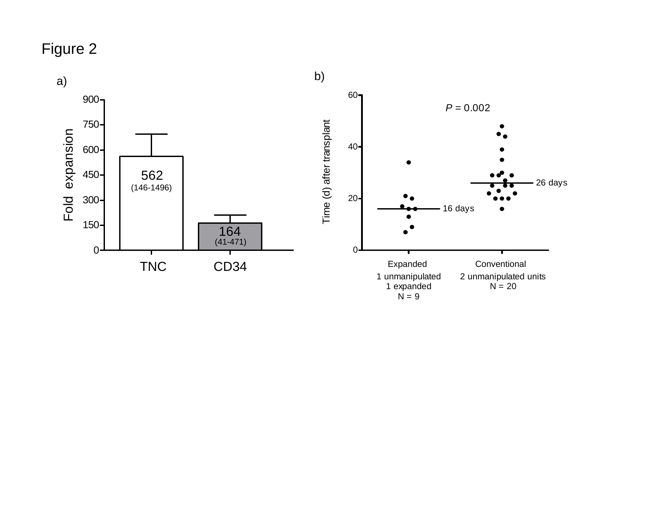## Figure 2